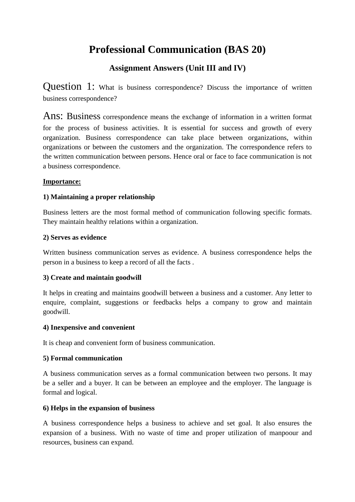# **Professional Communication (BAS 20)**

# **Assignment Answers (Unit III and IV)**

Question 1: What is business correspondence? Discuss the importance of written business correspondence?

Ans: Business correspondence means the exchange of information in a written format for the process of business activities. It is essential for success and growth of every organization. Business correspondence can take place between organizations, within organizations or between the customers and the organization. The correspondence refers to the written communication between persons. Hence oral or face to face communication is not a business correspondence.

## **Importance:**

## **1) Maintaining a proper relationship**

Business letters are the most formal method of communication following specific formats. They maintain healthy relations within a organization.

### **2) Serves as evidence**

Written business communication serves as evidence. A business correspondence helps the person in a business to keep a record of all the facts .

### **3) Create and maintain goodwill**

It helps in creating and maintains goodwill between a business and a customer. Any letter to enquire, complaint, suggestions or feedbacks helps a company to grow and maintain goodwill.

### **4) Inexpensive and convenient**

It is cheap and convenient form of business communication.

### **5) Formal communication**

A business communication serves as a formal communication between two persons. It may be a seller and a buyer. It can be between an employee and the employer. The language is formal and logical.

## **6) Helps in the expansion of business**

A business correspondence helps a business to achieve and set goal. It also ensures the expansion of a business. With no waste of time and proper utilization of manpoour and resources, business can expand.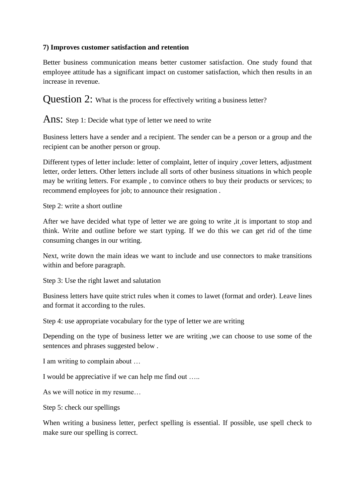## **7) Improves customer satisfaction and retention**

Better business communication means better customer satisfaction. One study found that employee attitude has a significant impact on customer satisfaction, which then results in an increase in revenue.

Question 2: What is the process for effectively writing a business letter?

Ans: Step 1: Decide what type of letter we need to write

Business letters have a sender and a recipient. The sender can be a person or a group and the recipient can be another person or group.

Different types of letter include: letter of complaint, letter of inquiry ,cover letters, adjustment letter, order letters. Other letters include all sorts of other business situations in which people may be writing letters. For example , to convince others to buy their products or services; to recommend employees for job; to announce their resignation .

Step 2: write a short outline

After we have decided what type of letter we are going to write ,it is important to stop and think. Write and outline before we start typing. If we do this we can get rid of the time consuming changes in our writing.

Next, write down the main ideas we want to include and use connectors to make transitions within and before paragraph.

Step 3: Use the right lawet and salutation

Business letters have quite strict rules when it comes to lawet (format and order). Leave lines and format it according to the rules.

Step 4: use appropriate vocabulary for the type of letter we are writing

Depending on the type of business letter we are writing ,we can choose to use some of the sentences and phrases suggested below .

I am writing to complain about …

I would be appreciative if we can help me find out …..

As we will notice in my resume…

Step 5: check our spellings

When writing a business letter, perfect spelling is essential. If possible, use spell check to make sure our spelling is correct.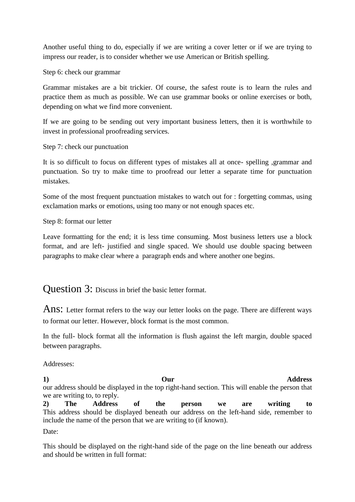Another useful thing to do, especially if we are writing a cover letter or if we are trying to impress our reader, is to consider whether we use American or British spelling.

Step 6: check our grammar

Grammar mistakes are a bit trickier. Of course, the safest route is to learn the rules and practice them as much as possible. We can use grammar books or online exercises or both, depending on what we find more convenient.

If we are going to be sending out very important business letters, then it is worthwhile to invest in professional proofreading services.

Step 7: check our punctuation

It is so difficult to focus on different types of mistakes all at once- spelling ,grammar and punctuation. So try to make time to proofread our letter a separate time for punctuation mistakes.

Some of the most frequent punctuation mistakes to watch out for : forgetting commas, using exclamation marks or emotions, using too many or not enough spaces etc.

Step 8: format our letter

Leave formatting for the end; it is less time consuming. Most business letters use a block format, and are left- justified and single spaced. We should use double spacing between paragraphs to make clear where a paragraph ends and where another one begins.

Question 3: Discuss in brief the basic letter format.

Ans: Letter format refers to the way our letter looks on the page. There are different ways to format our letter. However, block format is the most common.

In the full- block format all the information is flush against the left margin, double spaced between paragraphs.

Addresses:

**1) Our Address** our address should be displayed in the top right-hand section. This will enable the person that we are writing to, to reply.

**2) The Address of the person we are writing to** This address should be displayed beneath our address on the left-hand side, remember to include the name of the person that we are writing to (if known).

Date:

This should be displayed on the right-hand side of the page on the line beneath our address and should be written in full format: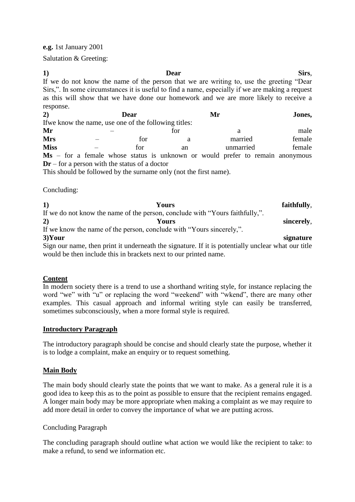**e.g.** 1st January 2001

Salutation & Greeting:

| $\bf{1}$                                                                                 | Dear                                            |      |     |                                                                                                  |  | Sirs,  |  |
|------------------------------------------------------------------------------------------|-------------------------------------------------|------|-----|--------------------------------------------------------------------------------------------------|--|--------|--|
| If we do not know the name of the person that we are writing to, use the greeting "Dear" |                                                 |      |     |                                                                                                  |  |        |  |
|                                                                                          |                                                 |      |     | Sirs,". In some circumstances it is useful to find a name, especially if we are making a request |  |        |  |
|                                                                                          |                                                 |      |     | as this will show that we have done our homework and we are more likely to receive a             |  |        |  |
| response.                                                                                |                                                 |      |     |                                                                                                  |  |        |  |
| 2)                                                                                       |                                                 | Dear |     | Mr                                                                                               |  | Jones, |  |
| If we know the name, use one of the following titles:                                    |                                                 |      |     |                                                                                                  |  |        |  |
| Mr                                                                                       |                                                 |      | for | a                                                                                                |  | male   |  |
| <b>Mrs</b>                                                                               |                                                 | for  | a   | married                                                                                          |  | female |  |
| <b>Miss</b>                                                                              |                                                 | for  | an  | unmarried                                                                                        |  | female |  |
|                                                                                          |                                                 |      |     | $\mathbf{M}s$ – for a female whose status is unknown or would prefer to remain anonymous         |  |        |  |
|                                                                                          | $Dr$ – for a person with the status of a doctor |      |     |                                                                                                  |  |        |  |
| $-1$                                                                                     |                                                 |      |     |                                                                                                  |  |        |  |

This should be followed by the surname only (not the first name).

Concluding:

| 1)        | Yours                                                                        | faithfully, |
|-----------|------------------------------------------------------------------------------|-------------|
|           | If we do not know the name of the person, conclude with "Yours faithfully,". |             |
| 2)        | Yours                                                                        | sincerely,  |
|           | If we know the name of the person, conclude with "Yours sincerely,".         |             |
| $3)$ Your |                                                                              | signature   |

Sign our name, then print it underneath the signature. If it is potentially unclear what our title would be then include this in brackets next to our printed name.

### **Content**

In modern society there is a trend to use a shorthand writing style, for instance replacing the word "we" with "u" or replacing the word "weekend" with "wkend", there are many other examples. This casual approach and informal writing style can easily be transferred, sometimes subconsciously, when a more formal style is required.

### **Introductory Paragraph**

The introductory paragraph should be concise and should clearly state the purpose, whether it is to lodge a complaint, make an enquiry or to request something.

### **Main Body**

The main body should clearly state the points that we want to make. As a general rule it is a good idea to keep this as to the point as possible to ensure that the recipient remains engaged. A longer main body may be more appropriate when making a complaint as we may require to add more detail in order to convey the importance of what we are putting across.

### Concluding Paragraph

The concluding paragraph should outline what action we would like the recipient to take: to make a refund, to send we information etc.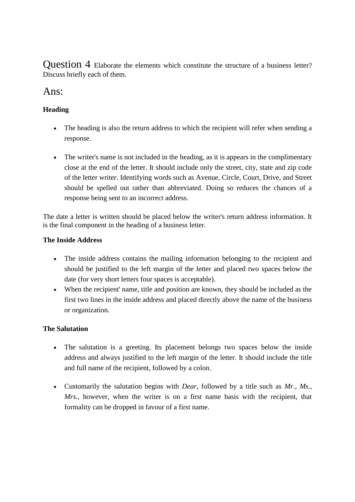Question 4 Elaborate the elements which constitute the structure of a business letter? Discuss briefly each of them.

# Ans:

# **Heading**

- The heading is also the return address to which the recipient will refer when sending a response.
- The writer's name is not included in the heading, as it is appears in the complimentary close at the end of the letter. It should include only the street, city, state and zip code of the letter writer. Identifying words such as Avenue, Circle, Court, Drive, and Street should be spelled out rather than abbreviated. Doing so reduces the chances of a response being sent to an incorrect address.

The date a letter is written should be placed below the writer's return address information. It is the final component in the heading of a business letter.

# **The Inside Address**

- The inside address contains the mailing information belonging to the recipient and should be justified to the left margin of the letter and placed two spaces below the date (for very short letters four spaces is acceptable).
- When the recipient' name, title and position are known, they should be included as the first two lines in the inside address and placed directly above the name of the business or organization.

## **The Salutation**

- The salutation is a greeting. Its placement belongs two spaces below the inside address and always justified to the left margin of the letter. It should include the title and full name of the recipient, followed by a colon.
- Customarily the salutation begins with *Dear*, followed by a title such as *Mr., Ms., Mrs.*, however, when the writer is on a first name basis with the recipient, that formality can be dropped in favour of a first name.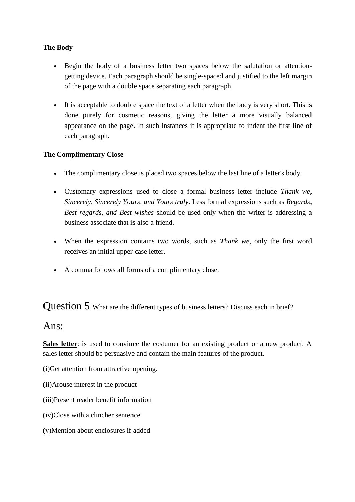# **The Body**

- Begin the body of a business letter two spaces below the salutation or attentiongetting device. Each paragraph should be single-spaced and justified to the left margin of the page with a double space separating each paragraph.
- It is acceptable to double space the text of a letter when the body is very short. This is done purely for cosmetic reasons, giving the letter a more visually balanced appearance on the page. In such instances it is appropriate to indent the first line of each paragraph.

## **The Complimentary Close**

- The complimentary close is placed two spaces below the last line of a letter's body.
- Customary expressions used to close a formal business letter include *Thank we, Sincerely, Sincerely Yours, and Yours truly*. Less formal expressions such as *Regards, Best regards, and Best wishes* should be used only when the writer is addressing a business associate that is also a friend.
- When the expression contains two words, such as *Thank we*, only the first word receives an initial upper case letter.
- A comma follows all forms of a complimentary close.

Question 5 What are the different types of business letters? Discuss each in brief?

# Ans:

Sales letter: is used to convince the costumer for an existing product or a new product. A sales letter should be persuasive and contain the main features of the product.

(i)Get attention from attractive opening.

- (ii)Arouse interest in the product
- (iii)Present reader benefit information
- (iv)Close with a clincher sentence
- (v)Mention about enclosures if added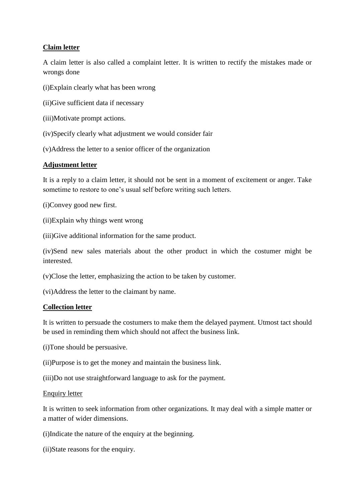### **Claim letter**

A claim letter is also called a complaint letter. It is written to rectify the mistakes made or wrongs done

(i)Explain clearly what has been wrong

(ii)Give sufficient data if necessary

(iii)Motivate prompt actions.

(iv)Specify clearly what adjustment we would consider fair

(v)Address the letter to a senior officer of the organization

### **Adjustment letter**

It is a reply to a claim letter, it should not be sent in a moment of excitement or anger. Take sometime to restore to one's usual self before writing such letters.

(i)Convey good new first.

(ii)Explain why things went wrong

(iii)Give additional information for the same product.

(iv)Send new sales materials about the other product in which the costumer might be interested.

(v)Close the letter, emphasizing the action to be taken by customer.

(vi)Address the letter to the claimant by name.

### **Collection letter**

It is written to persuade the costumers to make them the delayed payment. Utmost tact should be used in reminding them which should not affect the business link.

(i)Tone should be persuasive.

(ii)Purpose is to get the money and maintain the business link.

(iii)Do not use straightforward language to ask for the payment.

### Enquiry letter

It is written to seek information from other organizations. It may deal with a simple matter or a matter of wider dimensions.

(i)Indicate the nature of the enquiry at the beginning.

(ii)State reasons for the enquiry.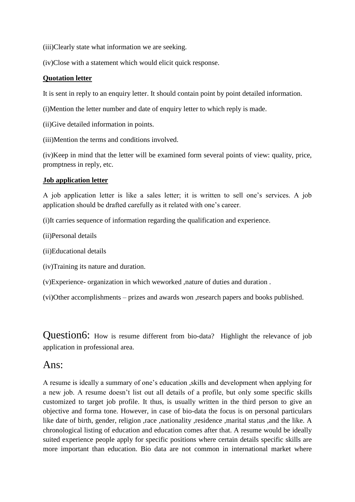(iii)Clearly state what information we are seeking.

(iv)Close with a statement which would elicit quick response.

### **Quotation letter**

It is sent in reply to an enquiry letter. It should contain point by point detailed information.

- (i)Mention the letter number and date of enquiry letter to which reply is made.
- (ii)Give detailed information in points.
- (iii)Mention the terms and conditions involved.

(iv)Keep in mind that the letter will be examined form several points of view: quality, price, promptness in reply, etc.

### **Job application letter**

A job application letter is like a sales letter; it is written to sell one's services. A job application should be drafted carefully as it related with one's career.

(i)It carries sequence of information regarding the qualification and experience.

- (ii)Personal details
- (ii)Educational details
- (iv)Training its nature and duration.
- (v)Experience- organization in which weworked ,nature of duties and duration .
- (vi)Other accomplishments prizes and awards won ,research papers and books published.

Question6: How is resume different from bio-data? Highlight the relevance of job application in professional area.

# Ans:

A resume is ideally a summary of one's education ,skills and development when applying for a new job. A resume doesn't list out all details of a profile, but only some specific skills customized to target job profile. It thus, is usually written in the third person to give an objective and forma tone. However, in case of bio-data the focus is on personal particulars like date of birth, gender, religion ,race ,nationality ,residence ,marital status ,and the like. A chronological listing of education and education comes after that. A resume would be ideally suited experience people apply for specific positions where certain details specific skills are more important than education. Bio data are not common in international market where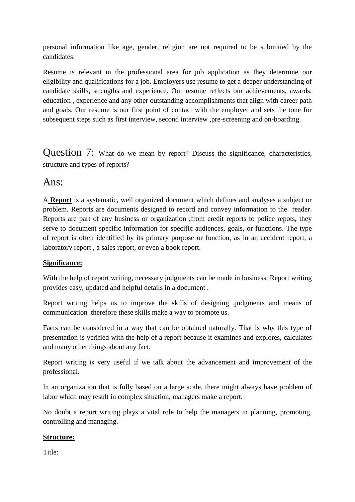personal information like age, gender, religion are not required to be submitted by the candidates.

Resume is relevant in the professional area for job application as they determine our eligibility and qualifications for a job. Employers use resume to get a deeper understanding of candidate skills, strengths and experience. Our resume reflects our achievements, awards, education , experience and any other outstanding accomplishments that align with career path and goals. Our resume is our first point of contact with the employer and sets the tone for subsequent steps such as first interview, second interview ,pre-screening and on-boarding.

Question 7: What do we mean by report? Discuss the significance, characteristics, structure and types of reports?

# Ans:

A **Report** is a systematic, well organized document which defines and analyses a subject or problem. Reports are documents designed to record and convey information to the reader. Reports are part of any business or organization ;from credit reports to police repots, they serve to document specific information for specific audiences, goals, or functions. The type of report is often identified by its primary purpose or function, as in an accident report, a laboratory report , a sales report, or even a book report.

## **Significance:**

With the help of report writing, necessary judgments can be made in business. Report writing provides easy, updated and helpful details in a document .

Report writing helps us to improve the skills of designing ,judgments and means of communication .therefore these skills make a way to promote us.

Facts can be considered in a way that can be obtained naturally. That is why this type of presentation is verified with the help of a report because it examines and explores, calculates and many other things about any fact.

Report writing is very useful if we talk about the advancement and improvement of the professional.

In an organization that is fully based on a large scale, there might always have problem of labor which may result in complex situation, managers make a report.

No doubt a report writing plays a vital role to help the managers in planning, promoting, controlling and managing.

### **Structure:**

Title: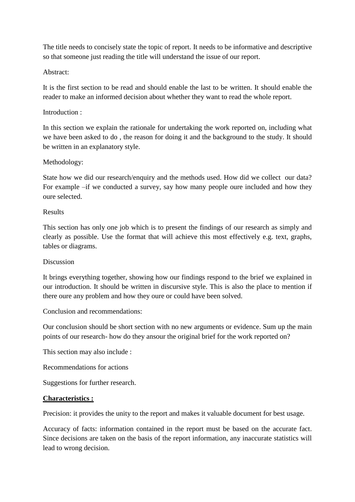The title needs to concisely state the topic of report. It needs to be informative and descriptive so that someone just reading the title will understand the issue of our report.

### Abstract:

It is the first section to be read and should enable the last to be written. It should enable the reader to make an informed decision about whether they want to read the whole report.

### Introduction :

In this section we explain the rationale for undertaking the work reported on, including what we have been asked to do , the reason for doing it and the background to the study. It should be written in an explanatory style.

### Methodology:

State how we did our research/enquiry and the methods used. How did we collect our data? For example –if we conducted a survey, say how many people oure included and how they oure selected.

### Results

This section has only one job which is to present the findings of our research as simply and clearly as possible. Use the format that will achieve this most effectively e.g. text, graphs, tables or diagrams.

### Discussion

It brings everything together, showing how our findings respond to the brief we explained in our introduction. It should be written in discursive style. This is also the place to mention if there oure any problem and how they oure or could have been solved.

Conclusion and recommendations:

Our conclusion should be short section with no new arguments or evidence. Sum up the main points of our research- how do they ansour the original brief for the work reported on?

This section may also include :

Recommendations for actions

Suggestions for further research.

### **Characteristics :**

Precision: it provides the unity to the report and makes it valuable document for best usage.

Accuracy of facts: information contained in the report must be based on the accurate fact. Since decisions are taken on the basis of the report information, any inaccurate statistics will lead to wrong decision.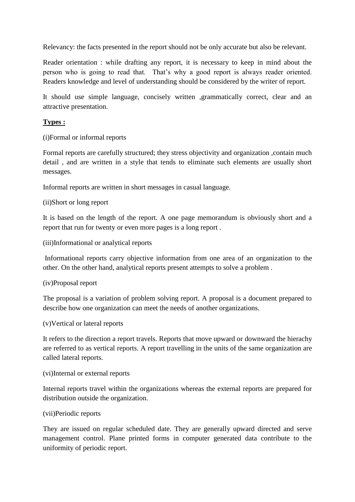Relevancy: the facts presented in the report should not be only accurate but also be relevant.

Reader orientation : while drafting any report, it is necessary to keep in mind about the person who is going to read that. That's why a good report is always reader oriented. Readers knowledge and level of understanding should be considered by the writer of report.

It should use simple language, concisely written ,grammatically correct, clear and an attractive presentation.

### **Types :**

(i)Formal or informal reports

Formal reports are carefully structured; they stress objectivity and organization ,contain much detail , and are written in a style that tends to eliminate such elements are usually short messages.

Informal reports are written in short messages in casual language.

(ii)Short or long report

It is based on the length of the report. A one page memorandum is obviously short and a report that run for twenty or even more pages is a long report .

(iii)Informational or analytical reports

Informational reports carry objective information from one area of an organization to the other. On the other hand, analytical reports present attempts to solve a problem .

### (iv)Proposal report

The proposal is a variation of problem solving report. A proposal is a document prepared to describe how one organization can meet the needs of another organizations.

### (v)Vertical or lateral reports

It refers to the direction a report travels. Reports that move upward or downward the hierachy are referred to as vertical reports. A report travelling in the units of the same organization are called lateral reports.

### (vi)Internal or external reports

Internal reports travel within the organizations whereas the external reports are prepared for distribution outside the organization.

### (vii)Periodic reports

They are issued on regular scheduled date. They are generally upward directed and serve management control. Plane printed forms in computer generated data contribute to the uniformity of periodic report.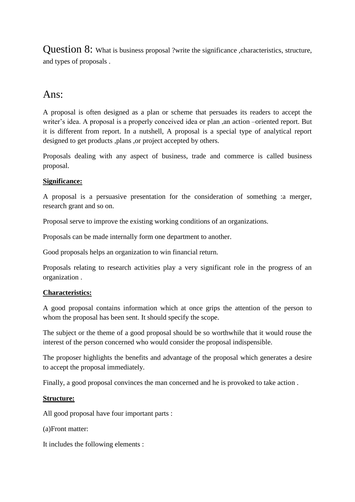Question 8: What is business proposal ?write the significance ,characteristics, structure, and types of proposals .

# Ans:

A proposal is often designed as a plan or scheme that persuades its readers to accept the writer's idea. A proposal is a properly conceived idea or plan ,an action –oriented report. But it is different from report. In a nutshell, A proposal is a special type of analytical report designed to get products ,plans ,or project accepted by others.

Proposals dealing with any aspect of business, trade and commerce is called business proposal.

# **Significance:**

A proposal is a persuasive presentation for the consideration of something :a merger, research grant and so on.

Proposal serve to improve the existing working conditions of an organizations.

Proposals can be made internally form one department to another.

Good proposals helps an organization to win financial return.

Proposals relating to research activities play a very significant role in the progress of an organization .

## **Characteristics:**

A good proposal contains information which at once grips the attention of the person to whom the proposal has been sent. It should specify the scope.

The subject or the theme of a good proposal should be so worthwhile that it would rouse the interest of the person concerned who would consider the proposal indispensible.

The proposer highlights the benefits and advantage of the proposal which generates a desire to accept the proposal immediately.

Finally, a good proposal convinces the man concerned and he is provoked to take action .

## **Structure:**

All good proposal have four important parts :

(a)Front matter:

It includes the following elements :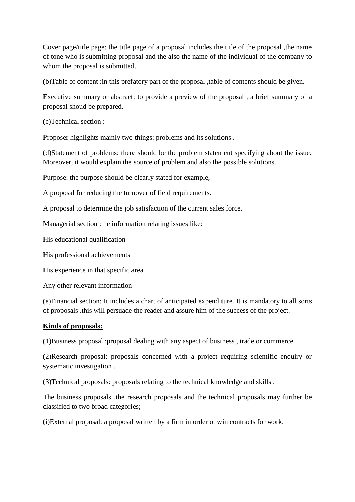Cover page/title page: the title page of a proposal includes the title of the proposal ,the name of tone who is submitting proposal and the also the name of the individual of the company to whom the proposal is submitted.

(b)Table of content :in this prefatory part of the proposal ,table of contents should be given.

Executive summary or abstract: to provide a preview of the proposal , a brief summary of a proposal shoud be prepared.

(c)Technical section :

Proposer highlights mainly two things: problems and its solutions .

(d)Statement of problems: there should be the problem statement specifying about the issue. Moreover, it would explain the source of problem and also the possible solutions.

Purpose: the purpose should be clearly stated for example,

A proposal for reducing the turnover of field requirements.

A proposal to determine the job satisfaction of the current sales force.

Managerial section :the information relating issues like:

His educational qualification

His professional achievements

His experience in that specific area

Any other relevant information

(e)Financial section: It includes a chart of anticipated expenditure. It is mandatory to all sorts of proposals .this will persuade the reader and assure him of the success of the project.

### **Kinds of proposals:**

(1)Business proposal :proposal dealing with any aspect of business , trade or commerce.

(2)Research proposal: proposals concerned with a project requiring scientific enquiry or systematic investigation .

(3)Technical proposals: proposals relating to the technical knowledge and skills .

The business proposals ,the research proposals and the technical proposals may further be classified to two broad categories;

(i)External proposal: a proposal written by a firm in order ot win contracts for work.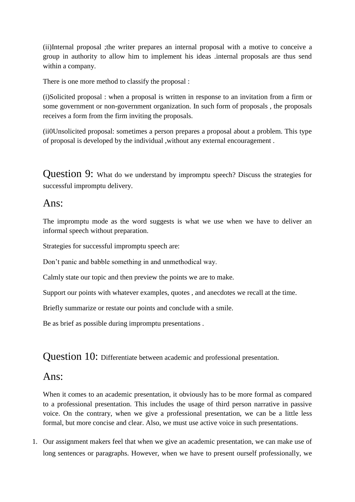(ii)Internal proposal ;the writer prepares an internal proposal with a motive to conceive a group in authority to allow him to implement his ideas .internal proposals are thus send within a company.

There is one more method to classify the proposal :

(i)Solicited proposal : when a proposal is written in response to an invitation from a firm or some government or non-government organization. In such form of proposals , the proposals receives a form from the firm inviting the proposals.

(ii0Unsolicited proposal: sometimes a person prepares a proposal about a problem. This type of proposal is developed by the individual ,without any external encouragement .

Question 9: What do we understand by impromptu speech? Discuss the strategies for successful impromptu delivery.

# Ans:

The impromptu mode as the word suggests is what we use when we have to deliver an informal speech without preparation.

Strategies for successful impromptu speech are:

Don't panic and babble something in and unmethodical way.

Calmly state our topic and then preview the points we are to make.

Support our points with whatever examples, quotes , and anecdotes we recall at the time.

Briefly summarize or restate our points and conclude with a smile.

Be as brief as possible during impromptu presentations .

Question 10: Differentiate between academic and professional presentation.

# Ans:

When it comes to an academic presentation, it obviously has to be more formal as compared to a professional presentation. This includes the usage of third person narrative in passive voice. On the contrary, when we give a professional presentation, we can be a little less formal, but more concise and clear. Also, we must use active voice in such presentations.

1. Our assignment makers feel that when we give an academic presentation, we can make use of long sentences or paragraphs. However, when we have to present ourself professionally, we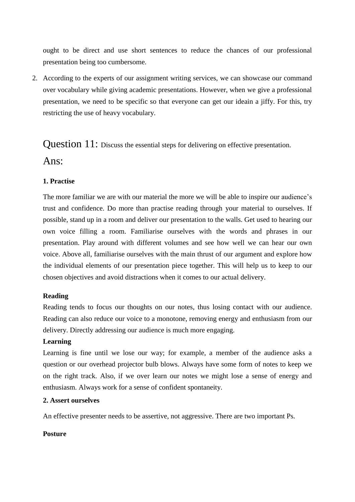ought to be direct and use short sentences to reduce the chances of our professional presentation being too cumbersome.

2. According to the experts of our assignment writing services, we can showcase our command over vocabulary while giving academic presentations. However, when we give a professional presentation, we need to be specific so that everyone can get our ideain a jiffy. For this, try restricting the use of heavy vocabulary.

Question 11: Discuss the essential steps for delivering on effective presentation. Ans:

## **1. Practise**

The more familiar we are with our material the more we will be able to inspire our audience's trust and confidence. Do more than practise reading through your material to ourselves. If possible, stand up in a room and deliver our presentation to the walls. Get used to hearing our own voice filling a room. Familiarise ourselves with the words and phrases in our presentation. Play around with different volumes and see how well we can hear our own voice. Above all, familiarise ourselves with the main thrust of our argument and explore how the individual elements of our presentation piece together. This will help us to keep to our chosen objectives and avoid distractions when it comes to our actual delivery.

### **Reading**

Reading tends to focus our thoughts on our notes, thus losing contact with our audience. Reading can also reduce our voice to a monotone, removing energy and enthusiasm from our delivery. Directly addressing our audience is much more engaging.

### **Learning**

Learning is fine until we lose our way; for example, a member of the audience asks a question or our overhead projector bulb blows. Always have some form of notes to keep we on the right track. Also, if we over learn our notes we might lose a sense of energy and enthusiasm. Always work for a sense of confident spontaneity.

### **2. Assert ourselves**

An effective presenter needs to be assertive, not aggressive. There are two important Ps.

### **Posture**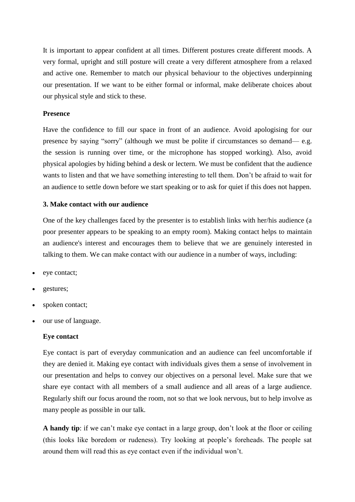It is important to appear confident at all times. Different postures create different moods. A very formal, upright and still posture will create a very different atmosphere from a relaxed and active one. Remember to match our physical behaviour to the objectives underpinning our presentation. If we want to be either formal or informal, make deliberate choices about our physical style and stick to these.

### **Presence**

Have the confidence to fill our space in front of an audience. Avoid apologising for our presence by saying "sorry" (although we must be polite if circumstances so demand— e.g. the session is running over time, or the microphone has stopped working). Also, avoid physical apologies by hiding behind a desk or lectern. We must be confident that the audience wants to listen and that we have something interesting to tell them. Don't be afraid to wait for an audience to settle down before we start speaking or to ask for quiet if this does not happen.

#### **3. Make contact with our audience**

One of the key challenges faced by the presenter is to establish links with her/his audience (a poor presenter appears to be speaking to an empty room). Making contact helps to maintain an audience's interest and encourages them to believe that we are genuinely interested in talking to them. We can make contact with our audience in a number of ways, including:

- eye contact;
- gestures;
- spoken contact;
- our use of language.

### **Eye contact**

Eye contact is part of everyday communication and an audience can feel uncomfortable if they are denied it. Making eye contact with individuals gives them a sense of involvement in our presentation and helps to convey our objectives on a personal level. Make sure that we share eye contact with all members of a small audience and all areas of a large audience. Regularly shift our focus around the room, not so that we look nervous, but to help involve as many people as possible in our talk.

**A handy tip**: if we can't make eye contact in a large group, don't look at the floor or ceiling (this looks like boredom or rudeness). Try looking at people's foreheads. The people sat around them will read this as eye contact even if the individual won't.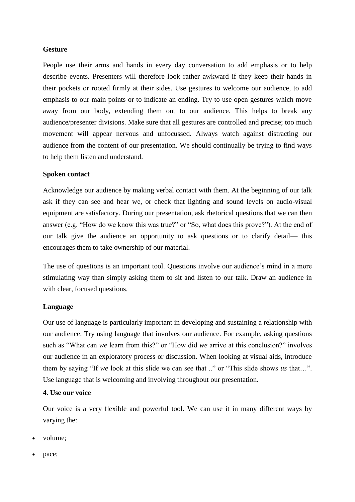#### **Gesture**

People use their arms and hands in every day conversation to add emphasis or to help describe events. Presenters will therefore look rather awkward if they keep their hands in their pockets or rooted firmly at their sides. Use gestures to welcome our audience, to add emphasis to our main points or to indicate an ending. Try to use open gestures which move away from our body, extending them out to our audience. This helps to break any audience/presenter divisions. Make sure that all gestures are controlled and precise; too much movement will appear nervous and unfocussed. Always watch against distracting our audience from the content of our presentation. We should continually be trying to find ways to help them listen and understand.

#### **Spoken contact**

Acknowledge our audience by making verbal contact with them. At the beginning of our talk ask if they can see and hear we, or check that lighting and sound levels on audio-visual equipment are satisfactory. During our presentation, ask rhetorical questions that we can then answer (e.g. "How do we know this was true?" or "So, what does this prove?"). At the end of our talk give the audience an opportunity to ask questions or to clarify detail— this encourages them to take ownership of our material.

The use of questions is an important tool. Questions involve our audience's mind in a more stimulating way than simply asking them to sit and listen to our talk. Draw an audience in with clear, focused questions.

### **Language**

Our use of language is particularly important in developing and sustaining a relationship with our audience. Try using language that involves our audience. For example, asking questions such as "What can *we* learn from this?" or "How did *we* arrive at this conclusion?" involves our audience in an exploratory process or discussion. When looking at visual aids, introduce them by saying "If *we* look at this slide we can see that .." or "This slide shows *us* that…". Use language that is welcoming and involving throughout our presentation.

### **4. Use our voice**

Our voice is a very flexible and powerful tool. We can use it in many different ways by varying the:

- volume;
- pace;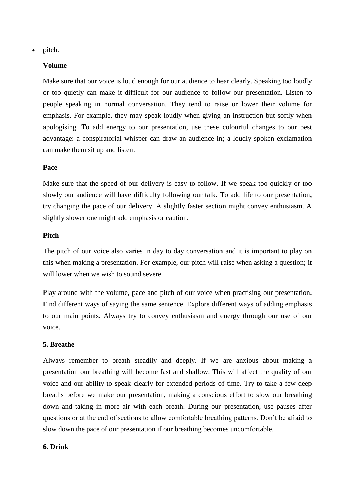pitch.

### **Volume**

Make sure that our voice is loud enough for our audience to hear clearly. Speaking too loudly or too quietly can make it difficult for our audience to follow our presentation. Listen to people speaking in normal conversation. They tend to raise or lower their volume for emphasis. For example, they may speak loudly when giving an instruction but softly when apologising. To add energy to our presentation, use these colourful changes to our best advantage: a conspiratorial whisper can draw an audience in; a loudly spoken exclamation can make them sit up and listen.

### **Pace**

Make sure that the speed of our delivery is easy to follow. If we speak too quickly or too slowly our audience will have difficulty following our talk. To add life to our presentation, try changing the pace of our delivery. A slightly faster section might convey enthusiasm. A slightly slower one might add emphasis or caution.

### **Pitch**

The pitch of our voice also varies in day to day conversation and it is important to play on this when making a presentation. For example, our pitch will raise when asking a question; it will lower when we wish to sound severe.

Play around with the volume, pace and pitch of our voice when practising our presentation. Find different ways of saying the same sentence. Explore different ways of adding emphasis to our main points. Always try to convey enthusiasm and energy through our use of our voice.

### **5. Breathe**

Always remember to breath steadily and deeply. If we are anxious about making a presentation our breathing will become fast and shallow. This will affect the quality of our voice and our ability to speak clearly for extended periods of time. Try to take a few deep breaths before we make our presentation, making a conscious effort to slow our breathing down and taking in more air with each breath. During our presentation, use pauses after questions or at the end of sections to allow comfortable breathing patterns. Don't be afraid to slow down the pace of our presentation if our breathing becomes uncomfortable.

### **6. Drink**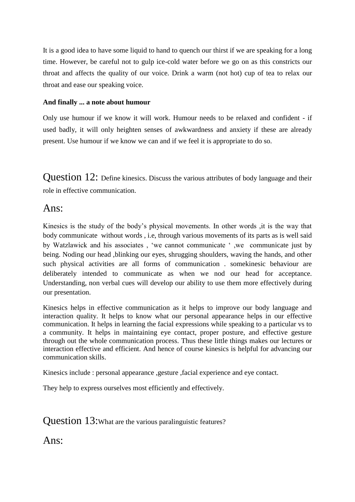It is a good idea to have some liquid to hand to quench our thirst if we are speaking for a long time. However, be careful not to gulp ice-cold water before we go on as this constricts our throat and affects the quality of our voice. Drink a warm (not hot) cup of tea to relax our throat and ease our speaking voice.

### **And finally ... a note about humour**

Only use humour if we know it will work. Humour needs to be relaxed and confident - if used badly, it will only heighten senses of awkwardness and anxiety if these are already present. Use humour if we know we can and if we feel it is appropriate to do so.

Question 12: Define kinesics. Discuss the various attributes of body language and their role in effective communication.

# Ans:

Kinesics is the study of the body's physical movements. In other words ,it is the way that body communicate without words , i.e, through various movements of its parts as is well said by Watzlawick and his associates , 'we cannot communicate ' ,we communicate just by being. Noding our head ,blinking our eyes, shrugging shoulders, waving the hands, and other such physical activities are all forms of communication . somekinesic behaviour are deliberately intended to communicate as when we nod our head for acceptance. Understanding, non verbal cues will develop our ability to use them more effectively during our presentation.

Kinesics helps in effective communication as it helps to improve our body language and interaction quality. It helps to know what our personal appearance helps in our effective communication. It helps in learning the facial expressions while speaking to a particular vs to a community. It helps in maintaining eye contact, proper posture, and effective gesture through out the whole communication process. Thus these little things makes our lectures or interaction effective and efficient. And hence of course kinesics is helpful for advancing our communication skills.

Kinesics include : personal appearance ,gesture ,facial experience and eye contact.

They help to express ourselves most efficiently and effectively.

Question 13: What are the various paralinguistic features?

 $Ans:$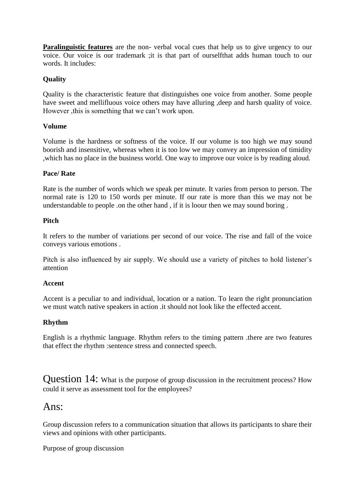**Paralinguistic features** are the non-verbal vocal cues that help us to give urgency to our voice. Our voice is our trademark ;it is that part of ourselfthat adds human touch to our words. It includes:

### **Quality**

Quality is the characteristic feature that distinguishes one voice from another. Some people have sweet and mellifluous voice others may have alluring ,deep and harsh quality of voice. However ,this is something that we can't work upon.

### **Volume**

Volume is the hardness or softness of the voice. If our volume is too high we may sound boorish and insensitive, whereas when it is too low we may convey an impression of timidity ,which has no place in the business world. One way to improve our voice is by reading aloud.

### **Pace/ Rate**

Rate is the number of words which we speak per minute. It varies from person to person. The normal rate is 120 to 150 words per minute. If our rate is more than this we may not be understandable to people .on the other hand , if it is loour then we may sound boring .

### **Pitch**

It refers to the number of variations per second of our voice. The rise and fall of the voice conveys various emotions .

Pitch is also influenced by air supply. We should use a variety of pitches to hold listener's attention

### **Accent**

Accent is a peculiar to and individual, location or a nation. To learn the right pronunciation we must watch native speakers in action .it should not look like the effected accent.

### **Rhythm**

English is a rhythmic language. Rhythm refers to the timing pattern .there are two features that effect the rhythm :sentence stress and connected speech.

Question 14: What is the purpose of group discussion in the recruitment process? How could it serve as assessment tool for the employees?

# Ans $\cdot$

Group discussion refers to a communication situation that allows its participants to share their views and opinions with other participants.

Purpose of group discussion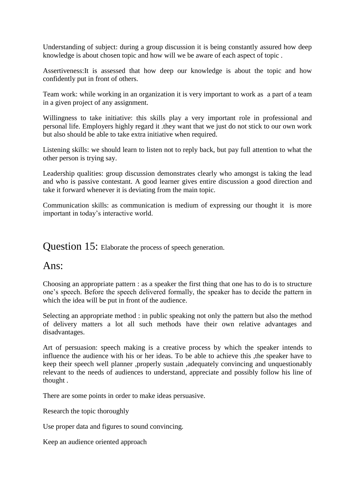Understanding of subject: during a group discussion it is being constantly assured how deep knowledge is about chosen topic and how will we be aware of each aspect of topic .

Assertiveness:It is assessed that how deep our knowledge is about the topic and how confidently put in front of others.

Team work: while working in an organization it is very important to work as a part of a team in a given project of any assignment.

Willingness to take initiative: this skills play a very important role in professional and personal life. Employers highly regard it .they want that we just do not stick to our own work but also should be able to take extra initiative when required.

Listening skills: we should learn to listen not to reply back, but pay full attention to what the other person is trying say.

Leadership qualities: group discussion demonstrates clearly who amongst is taking the lead and who is passive contestant. A good learner gives entire discussion a good direction and take it forward whenever it is deviating from the main topic.

Communication skills: as communication is medium of expressing our thought it is more important in today's interactive world.

Question 15: Elaborate the process of speech generation.

# Ans:

Choosing an appropriate pattern : as a speaker the first thing that one has to do is to structure one's speech. Before the speech delivered formally, the speaker has to decide the pattern in which the idea will be put in front of the audience.

Selecting an appropriate method : in public speaking not only the pattern but also the method of delivery matters a lot all such methods have their own relative advantages and disadvantages.

Art of persuasion: speech making is a creative process by which the speaker intends to influence the audience with his or her ideas. To be able to achieve this ,the speaker have to keep their speech well planner ,properly sustain ,adequately convincing and unquestionably relevant to the needs of audiences to understand, appreciate and possibly follow his line of thought .

There are some points in order to make ideas persuasive.

Research the topic thoroughly

Use proper data and figures to sound convincing.

Keep an audience oriented approach